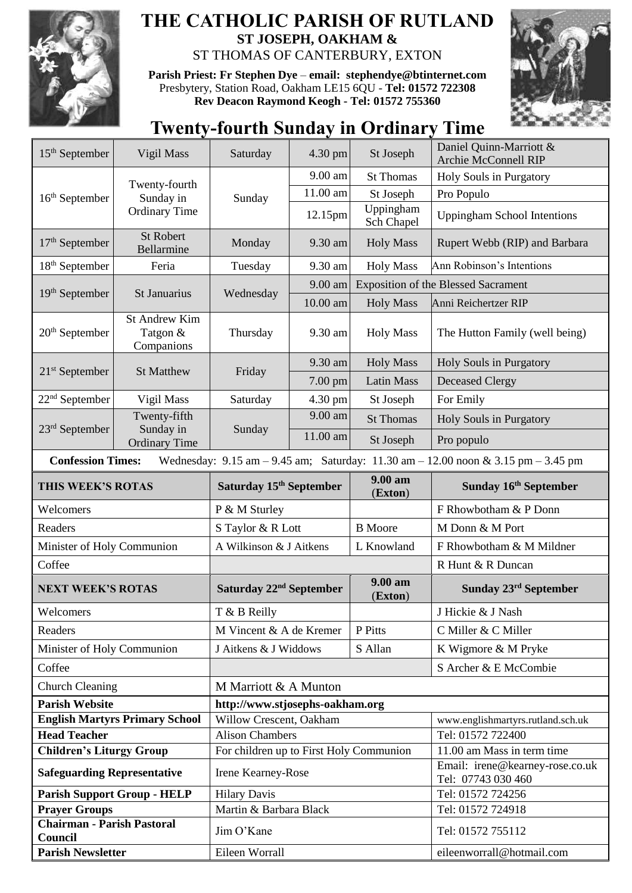

## **THE CATHOLIC PARISH OF RUTLAND ST JOSEPH, OAKHAM &**  ST THOMAS OF CANTERBURY, EXTON

**Parish Priest: Fr Stephen Dye** – **[email: stephendye@btinternet.com](mailto:email:%20%20stephendye@btinternet.com)** Presbytery, Station Road, Oakham LE15 6QU - **Tel: 01572 722308 Rev Deacon Raymond Keogh - Tel: 01572 755360**



## **Twenty-fourth Sunday in Ordinary Time**

| $15th$ September                                                                                                                                                    | Vigil Mass                                         | Saturday                                | 4.30 pm    | St Joseph               | Daniel Quinn-Marriott &<br><b>Archie McConnell RIP</b> |  |
|---------------------------------------------------------------------------------------------------------------------------------------------------------------------|----------------------------------------------------|-----------------------------------------|------------|-------------------------|--------------------------------------------------------|--|
| 16 <sup>th</sup> September                                                                                                                                          | Twenty-fourth<br>Sunday in<br><b>Ordinary Time</b> | Sunday                                  | 9.00 am    | <b>St Thomas</b>        | Holy Souls in Purgatory                                |  |
|                                                                                                                                                                     |                                                    |                                         | 11.00 am   | St Joseph               | Pro Populo                                             |  |
|                                                                                                                                                                     |                                                    |                                         | 12.15pm    | Uppingham<br>Sch Chapel | <b>Uppingham School Intentions</b>                     |  |
| $17th$ September                                                                                                                                                    | <b>St Robert</b><br>Bellarmine                     | Monday                                  | 9.30 am    | <b>Holy Mass</b>        | Rupert Webb (RIP) and Barbara                          |  |
| 18 <sup>th</sup> September                                                                                                                                          | Feria                                              | Tuesday                                 | 9.30 am    | <b>Holy Mass</b>        | Ann Robinson's Intentions                              |  |
| $19th$ September                                                                                                                                                    | St Januarius                                       | Wednesday                               | 9.00 am    |                         | <b>Exposition of the Blessed Sacrament</b>             |  |
|                                                                                                                                                                     |                                                    |                                         | $10.00$ am | <b>Holy Mass</b>        | Anni Reichertzer RIP                                   |  |
| $20th$ September                                                                                                                                                    | <b>St Andrew Kim</b><br>Tatgon &<br>Companions     | Thursday                                | 9.30 am    | <b>Holy Mass</b>        | The Hutton Family (well being)                         |  |
|                                                                                                                                                                     | <b>St Matthew</b>                                  | Friday                                  | 9.30 am    | <b>Holy Mass</b>        | Holy Souls in Purgatory                                |  |
| $21st$ September                                                                                                                                                    |                                                    |                                         | 7.00 pm    | <b>Latin Mass</b>       | <b>Deceased Clergy</b>                                 |  |
| $22nd$ September                                                                                                                                                    | Vigil Mass                                         | Saturday                                | 4.30 pm    | St Joseph               | For Emily                                              |  |
|                                                                                                                                                                     | Twenty-fifth<br>Sunday in<br><b>Ordinary Time</b>  | Sunday                                  | 9.00 am    | <b>St Thomas</b>        | Holy Souls in Purgatory                                |  |
| $23rd$ September                                                                                                                                                    |                                                    |                                         | 11.00 am   | St Joseph               | Pro populo                                             |  |
| <b>Confession Times:</b><br>Wednesday: $9.15 \text{ am} - 9.45 \text{ am}$ ; Saturday: $11.30 \text{ am} - 12.00 \text{ noon} \& 3.15 \text{ pm} - 3.45 \text{ pm}$ |                                                    |                                         |            |                         |                                                        |  |
| THIS WEEK'S ROTAS                                                                                                                                                   |                                                    | Saturday 15 <sup>th</sup> September     |            | 9.00 am<br>(Exton)      | Sunday 16 <sup>th</sup> September                      |  |
|                                                                                                                                                                     |                                                    |                                         |            |                         |                                                        |  |
| Welcomers                                                                                                                                                           |                                                    | P & M Sturley                           |            |                         | F Rhowbotham & P Donn                                  |  |
| Readers                                                                                                                                                             |                                                    | S Taylor & R Lott                       |            | <b>B</b> Moore          | M Donn & M Port                                        |  |
| Minister of Holy Communion                                                                                                                                          |                                                    | A Wilkinson & J Aitkens                 |            | L Knowland              | F Rhowbotham & M Mildner                               |  |
| Coffee                                                                                                                                                              |                                                    |                                         |            |                         | R Hunt & R Duncan                                      |  |
| <b>NEXT WEEK'S ROTAS</b>                                                                                                                                            |                                                    | Saturday 22 <sup>nd</sup> September     |            | 9.00 am<br>(Exton)      | Sunday 23 <sup>rd</sup> September                      |  |
| Welcomers                                                                                                                                                           |                                                    | T & B Reilly                            |            |                         | J Hickie & J Nash                                      |  |
| Readers                                                                                                                                                             |                                                    | M Vincent & A de Kremer                 |            | P Pitts                 | C Miller & C Miller                                    |  |
| Minister of Holy Communion                                                                                                                                          |                                                    | J Aitkens & J Widdows                   |            | S Allan                 | K Wigmore & M Pryke                                    |  |
| Coffee                                                                                                                                                              |                                                    |                                         |            |                         | S Archer & E McCombie                                  |  |
| <b>Church Cleaning</b>                                                                                                                                              |                                                    | M Marriott & A Munton                   |            |                         |                                                        |  |
| <b>Parish Website</b>                                                                                                                                               |                                                    | http://www.stjosephs-oakham.org         |            |                         |                                                        |  |
|                                                                                                                                                                     | <b>English Martyrs Primary School</b>              | Willow Crescent, Oakham                 |            |                         | www.englishmartyrs.rutland.sch.uk                      |  |
| <b>Head Teacher</b>                                                                                                                                                 |                                                    | <b>Alison Chambers</b>                  |            |                         | Tel: 01572 722400                                      |  |
| <b>Children's Liturgy Group</b>                                                                                                                                     |                                                    | For children up to First Holy Communion |            |                         | 11.00 am Mass in term time                             |  |
| <b>Safeguarding Representative</b>                                                                                                                                  |                                                    | Irene Kearney-Rose                      |            |                         | Email: irene@kearney-rose.co.uk<br>Tel: 07743 030 460  |  |
|                                                                                                                                                                     | <b>Parish Support Group - HELP</b>                 | <b>Hilary Davis</b>                     |            |                         | Tel: 01572 724256                                      |  |
| <b>Prayer Groups</b>                                                                                                                                                |                                                    | Martin & Barbara Black                  |            |                         | Tel: 01572 724918                                      |  |
| <b>Chairman - Parish Pastoral</b><br>Council<br><b>Parish Newsletter</b>                                                                                            |                                                    | Jim O'Kane<br>Eileen Worrall            |            |                         | Tel: 01572 755112<br>eileenworrall@hotmail.com         |  |